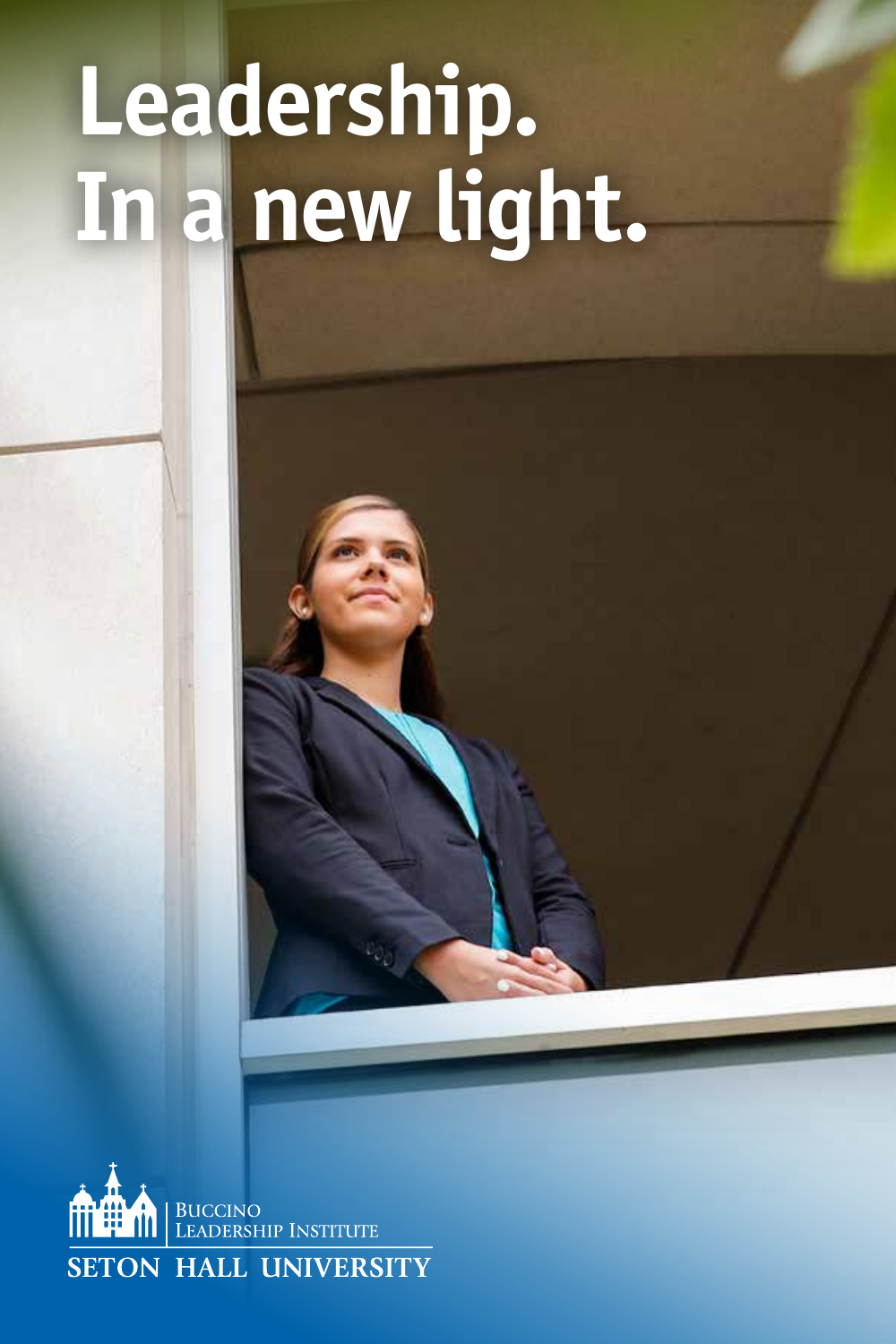# **Leadership. In a new light.**

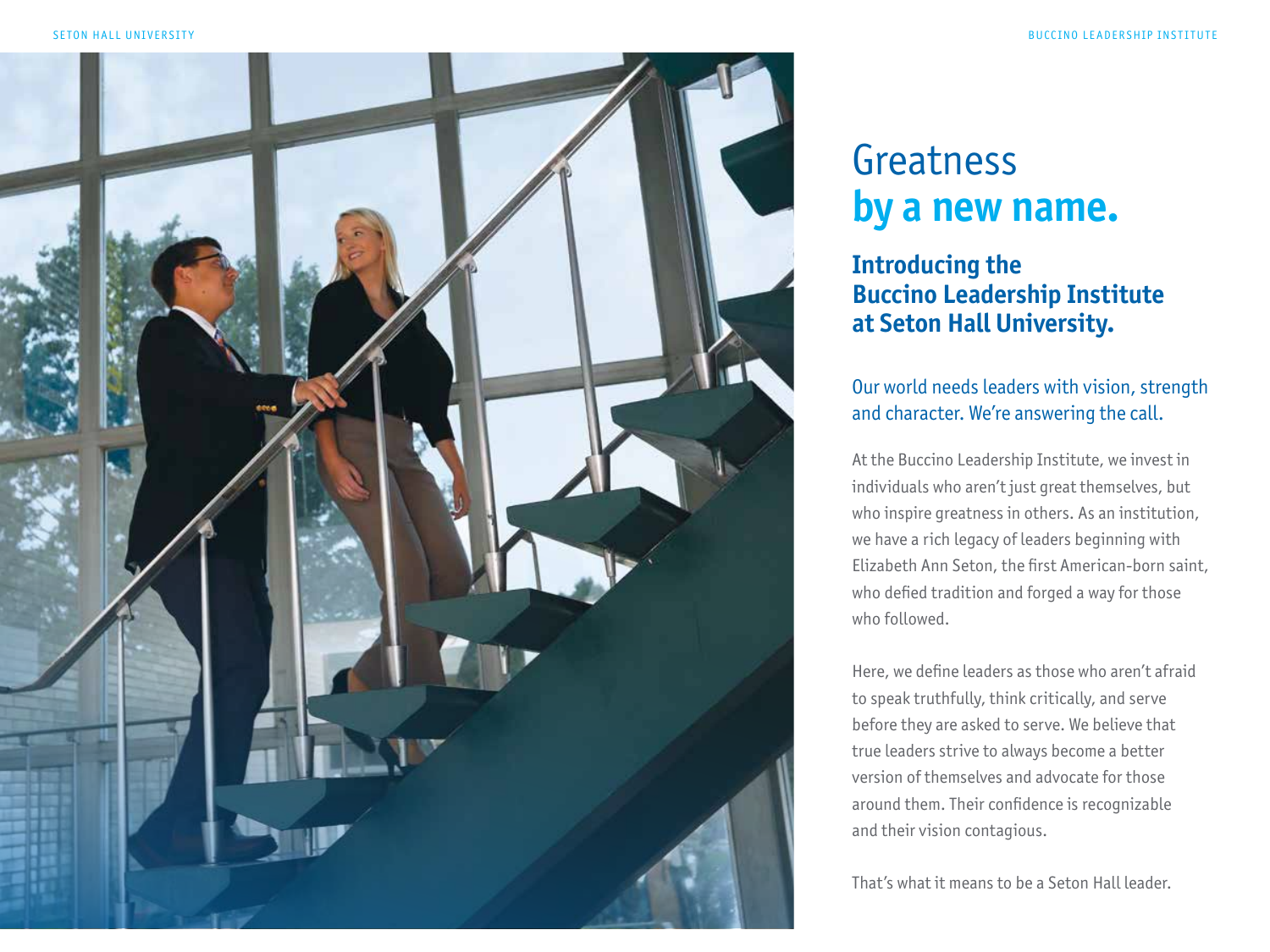

## Greatness **by a new name.**

### **Introducing the Buccino Leadership Institute at Seton Hall University.**

### Our world needs leaders with vision, strength and character. We're answering the call.

At the Buccino Leadership Institute, we invest in individuals who aren't just great themselves, but who inspire greatness in others. As an institution, we have a rich legacy of leaders beginning with Elizabeth Ann Seton, the first American-born saint, who defied tradition and forged a way for those who followed.

Here, we define leaders as those who aren't afraid to speak truthfully, think critically, and serve before they are asked to serve. We believe that true leaders strive to always become a better version of themselves and advocate for those around them. Their confidence is recognizable and their vision contagious.

That's what it means to be a Seton Hall leader.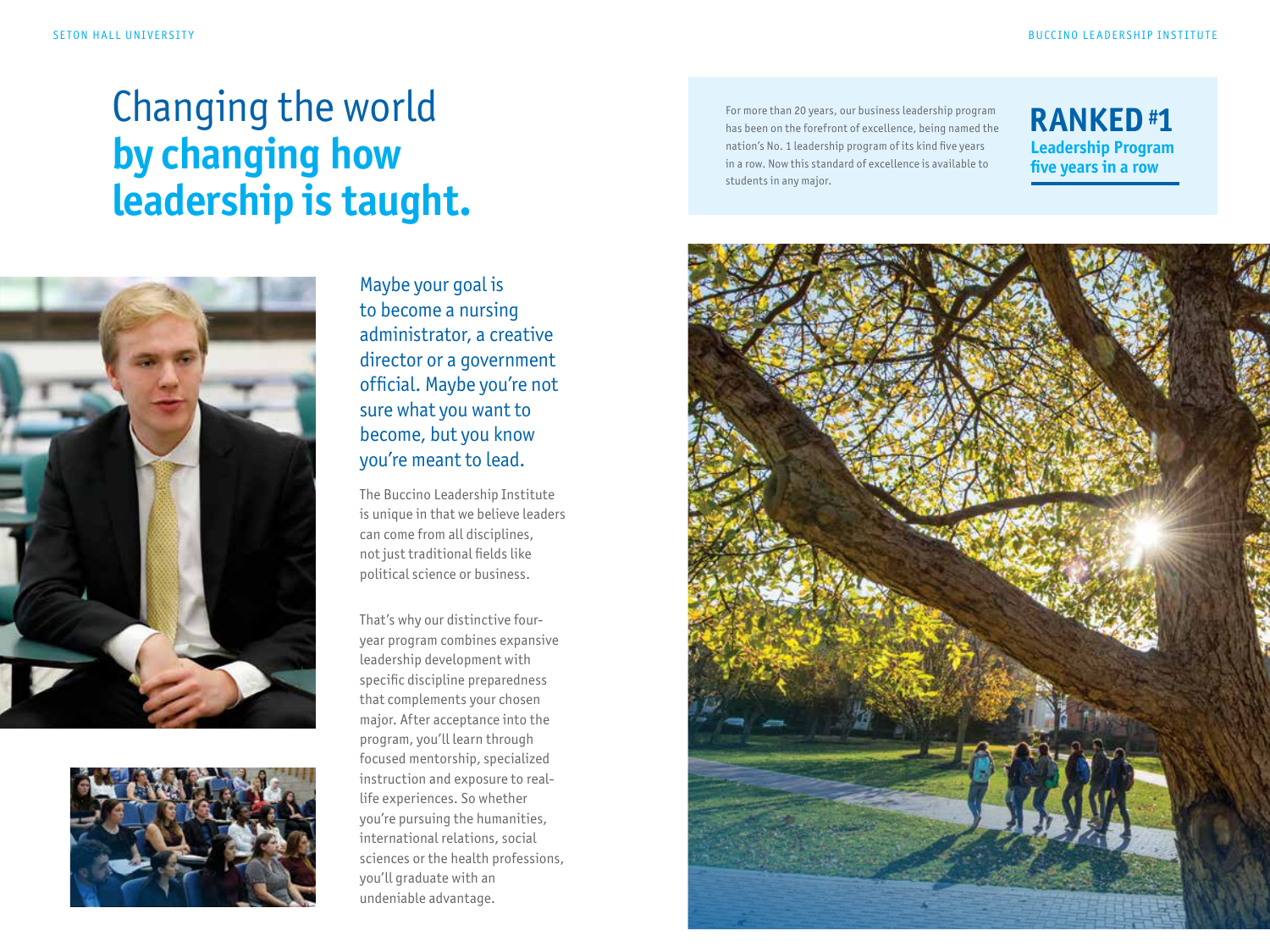## Changing the world **by changing how leadership is taught.**





Maybe your goal is to become a nursing administrator, a creative director or a government official. Maybe you're not sure what you want to become, but you know you're meant to lead.

The Buccino Leadership Institute is unique in that we believe leaders can come from all disciplines, not just traditional fields like political science or business.

That's why our distinctive fouryear program combines expansive leadership development with specific discipline preparedness that complements your chosen major. After acceptance into the program, you'll learn through focused mentorship, specialized instruction and exposure to reallife experiences. So whether you're pursuing the humanities, international relations, social sciences or the health professions, you'll graduate with an undeniable advantage.

For more than 20 years, our business leadership program has been on the forefront of excellence, being named the nation's No. 1 leadership program of its kind five years in a row. Now this standard of excellence is available to students in any major.

### **RANKED #1 Leadership Program five years in a row**

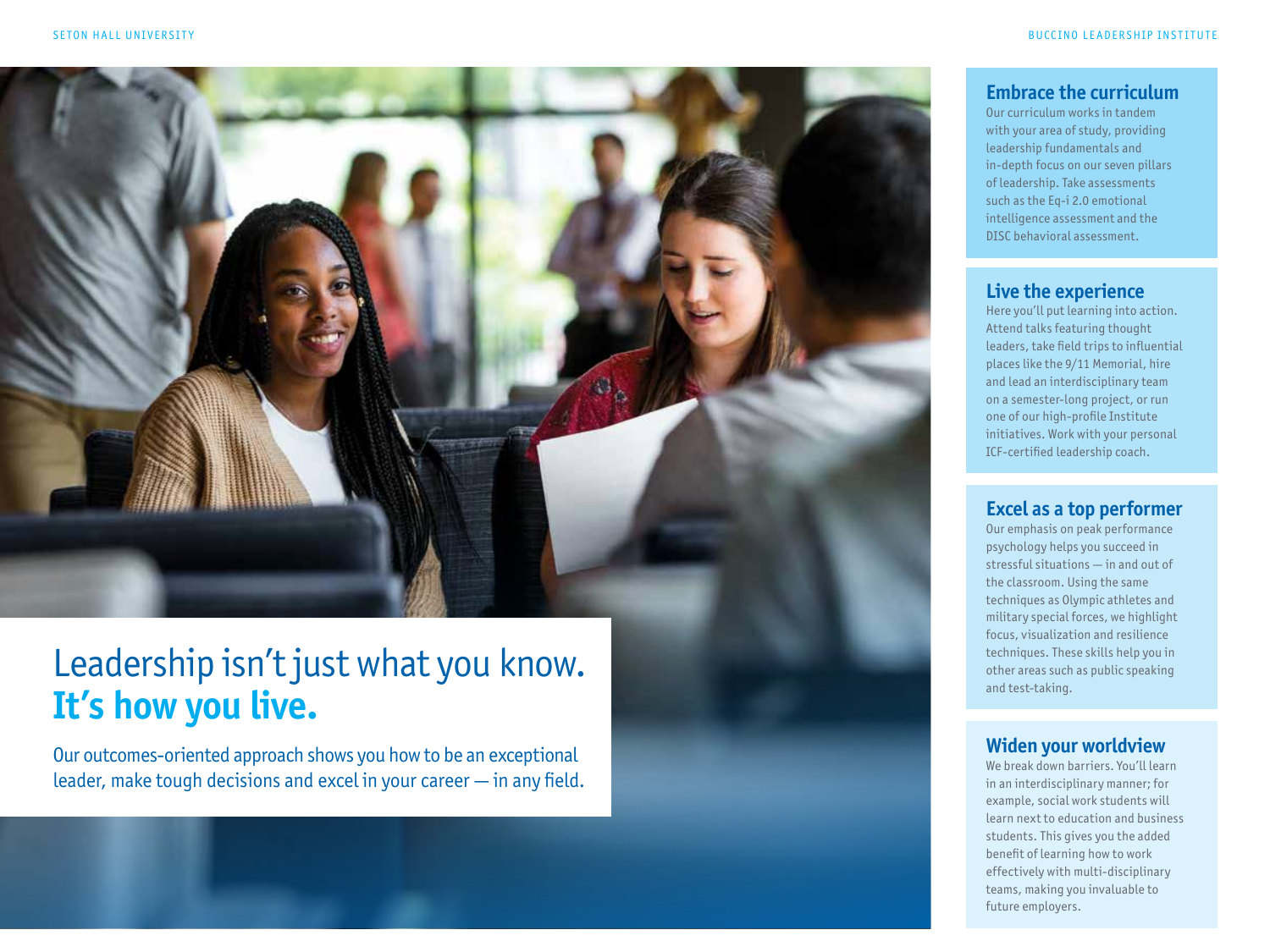

## Leadership isn't just what you know. **It's how you live.**

Our outcomes-oriented approach shows you how to be an exceptional leader, make tough decisions and excel in your career — in any field.

#### **Embrace the curriculum**

Our curriculum works in tandem with your area of study, providing leadership fundamentals and in-depth focus on our seven pillars of leadership. Take assessments such as the Eq-i 2.0 emotional intelligence assessment and the DISC behavioral assessment.

#### **Live the experience**

Here you'll put learning into action. Attend talks featuring thought leaders, take field trips to influential places like the 9/11 Memorial, hire and lead an interdisciplinary team on a semester-long project, or run one of our high-profile Institute initiatives. Work with your personal ICF-certified leadership coach.

#### **Excel as a top performer**

Our emphasis on peak performance psychology helps you succeed in stressful situations — in and out of the classroom. Using the same techniques as Olympic athletes and military special forces, we highlight focus, visualization and resilience techniques. These skills help you in other areas such as public speaking and test-taking.

#### **Widen your worldview**

We break down barriers. You'll learn in an interdisciplinary manner; for example, social work students will learn next to education and business students. This gives you the added benefit of learning how to work effectively with multi-disciplinary teams, making you invaluable to future employers.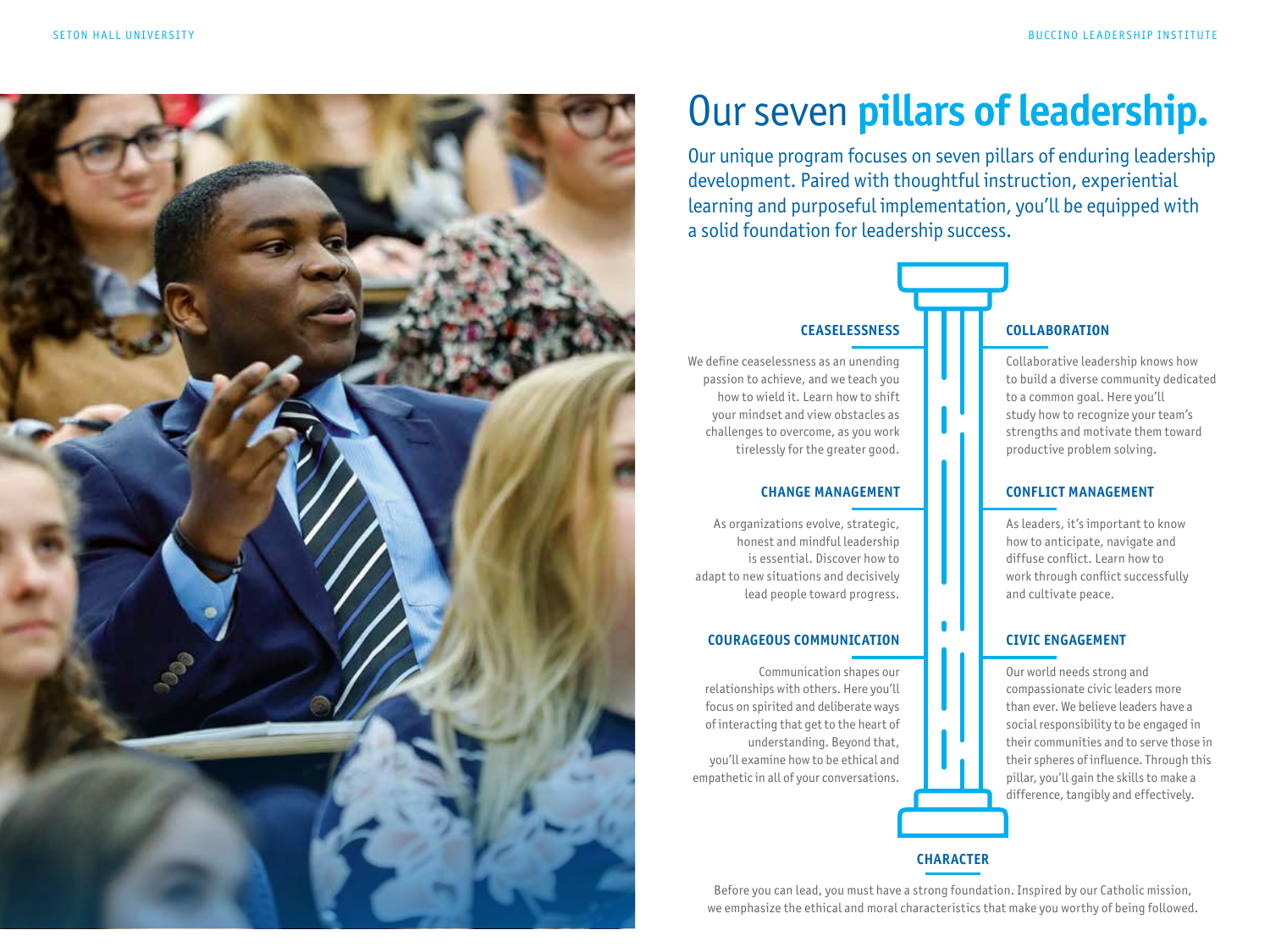

## Our seven **pillars of leadership.**

Our unique program focuses on seven pillars of enduring leadership development. Paired with thoughtful instruction, experiential learning and purposeful implementation, you'll be equipped with a solid foundation for leadership success.

#### **CEASELESSNESS**

We define ceaselessness as an unending passion to achieve, and we teach you how to wield it. Learn how to shift your mindset and view obstacles as challenges to overcome, as you work tirelessly for the greater good.

#### **CHANGE MANAGEMENT**

As organizations evolve, strategic, honest and mindful leadership is essential. Discover how to adapt to new situations and decisively lead people toward progress.

#### **COURAGEOUS COMMUNICATION**

Communication shapes our relationships with others. Here you'll focus on spirited and deliberate ways of interacting that get to the heart of understanding. Beyond that, you'll examine how to be ethical and empathetic in all of your conversations.

#### **COLLABORATION**

Collaborative leadership knows how to build a diverse community dedicated to a common goal. Here you'll study how to recognize your team's strengths and motivate them toward productive problem solving.

#### **CONFLICT MANAGEMENT**

As leaders, it's important to know how to anticipate, navigate and diffuse conflict. Learn how to work through conflict successfully and cultivate peace.

#### **CIVIC ENGAGEMENT**

Our world needs strong and compassionate civic leaders more than ever. We believe leaders have a social responsibility to be engaged in their communities and to serve those in their spheres of influence. Through this pillar, you'll gain the skills to make a difference, tangibly and effectively.

#### **CHARACTER**

 $\blacksquare$ 

Before you can lead, you must have a strong foundation. Inspired by our Catholic mission, we emphasize the ethical and moral characteristics that make you worthy of being followed.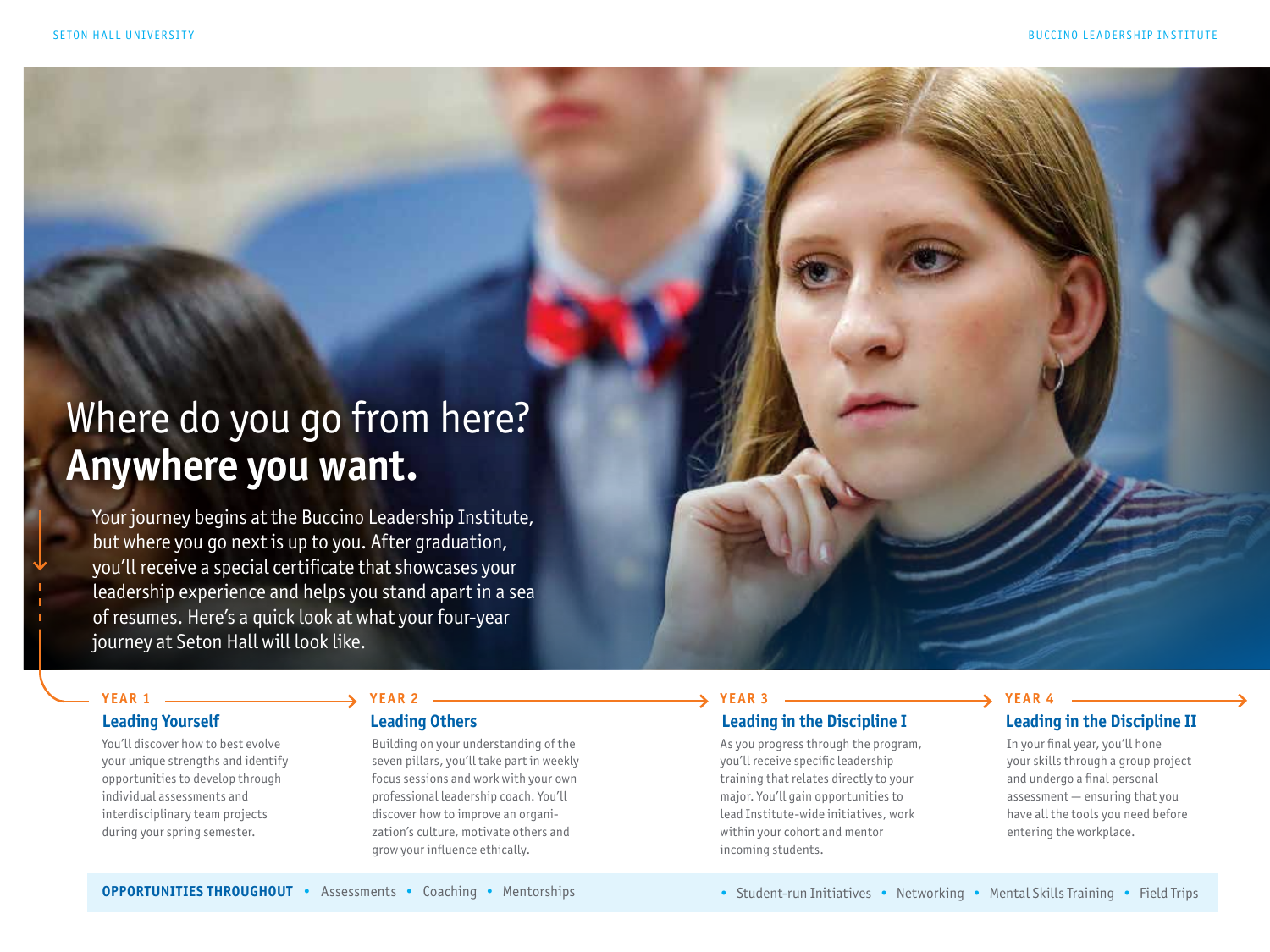## Where do you go from here? **Anywhere you want.**

Your journey begins at the Buccino Leadership Institute, but where you go next is up to you. After graduation, you'll receive a special certificate that showcases your leadership experience and helps you stand apart in a sea of resumes. Here's a quick look at what your four-year journey at Seton Hall will look like.

#### **YEAR 1**

#### **Leading Yourself**

You'll discover how to best evolve your unique strengths and identify opportunities to develop through individual assessments and interdisciplinary team projects during your spring semester.

#### **YEAR 2**

#### **Leading Others**

Building on your understanding of the seven pillars, you'll take part in weekly focus sessions and work with your own professional leadership coach. You'll discover how to improve an organization's culture, motivate others and grow your influence ethically.

### **YEAR 3**

### **Leading in the Discipline I**

As you progress through the program, you'll receive specific leadership training that relates directly to your major. You'll gain opportunities to lead Institute-wide initiatives, work within your cohort and mentor incoming students.

#### **YEAR 4**

#### **Leading in the Discipline II**

In your final year, you'll hone your skills through a group project and undergo a final personal assessment — ensuring that you have all the tools you need before entering the workplace.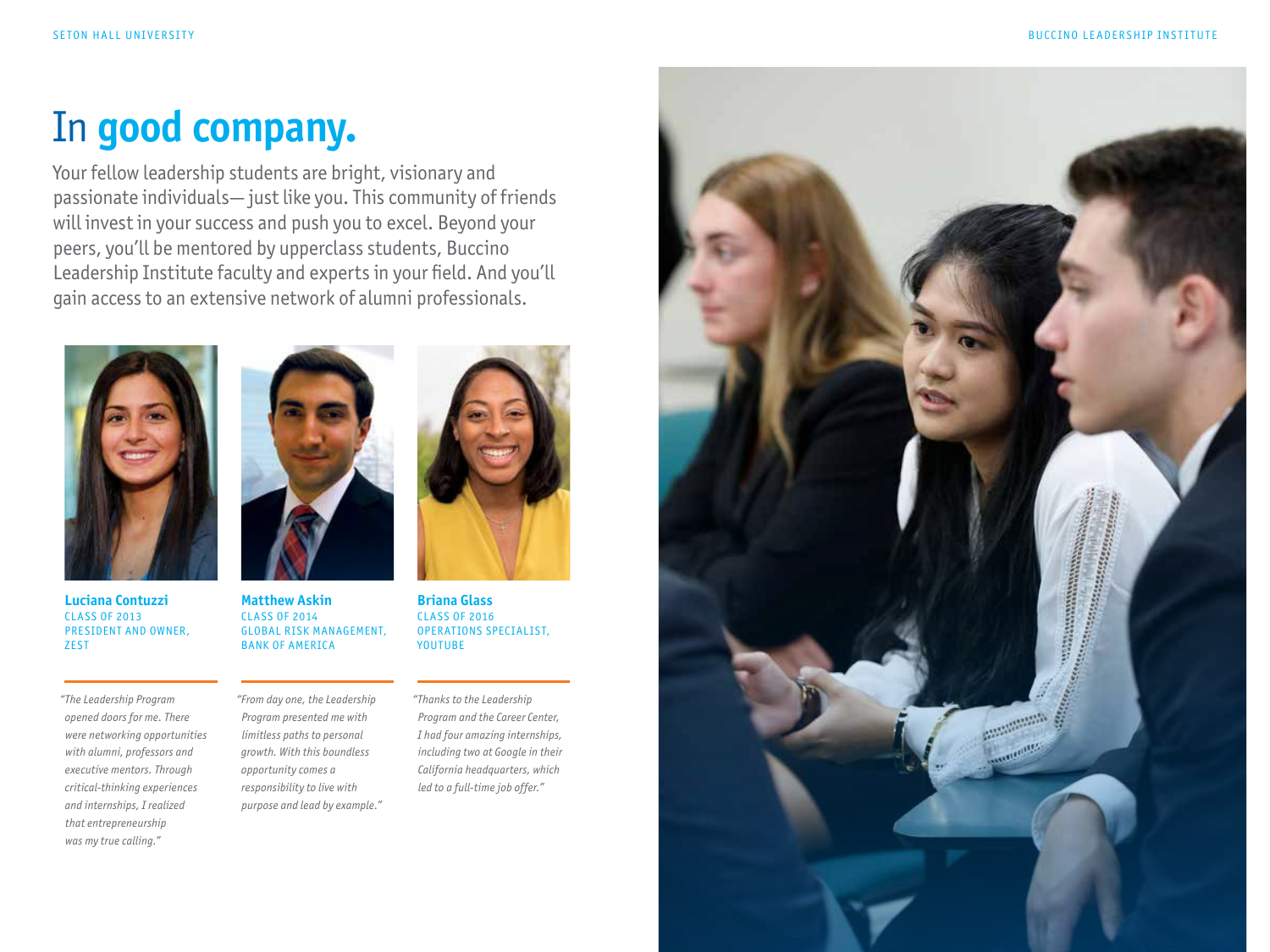## In **good company.**

Your fellow leadership students are bright, visionary and passionate individuals— just like you. This community of friends will invest in your success and push you to excel. Beyond your peers, you'll be mentored by upperclass students, Buccino Leadership Institute faculty and experts in your field. And you'll gain access to an extensive network of alumni professionals.



**Luciana Contuzzi** CLASS OF 2013 PRESIDENT AND OWNER, **ZEST** 

*"The Leadership Program opened doors for me. There were networking opportunities with alumni, professors and executive mentors. Through critical-thinking experiences and internships, I realized that entrepreneurship was my true calling."*



**Matthew Askin** CLASS OF 2014 GLOBAL RISK MANAGEMENT, BANK OF AMERICA

*"From day one, the Leadership Program presented me with limitless paths to personal growth. With this boundless opportunity comes a responsibility to live with purpose and lead by example."*



**Briana Glass** CLASS OF 2016 OPERATIONS SPECIALIST, YOUTUBE

*"Thanks to the Leadership Program and the Career Center, I had four amazing internships, including two at Google in their California headquarters, which led to a full-time job offer."*

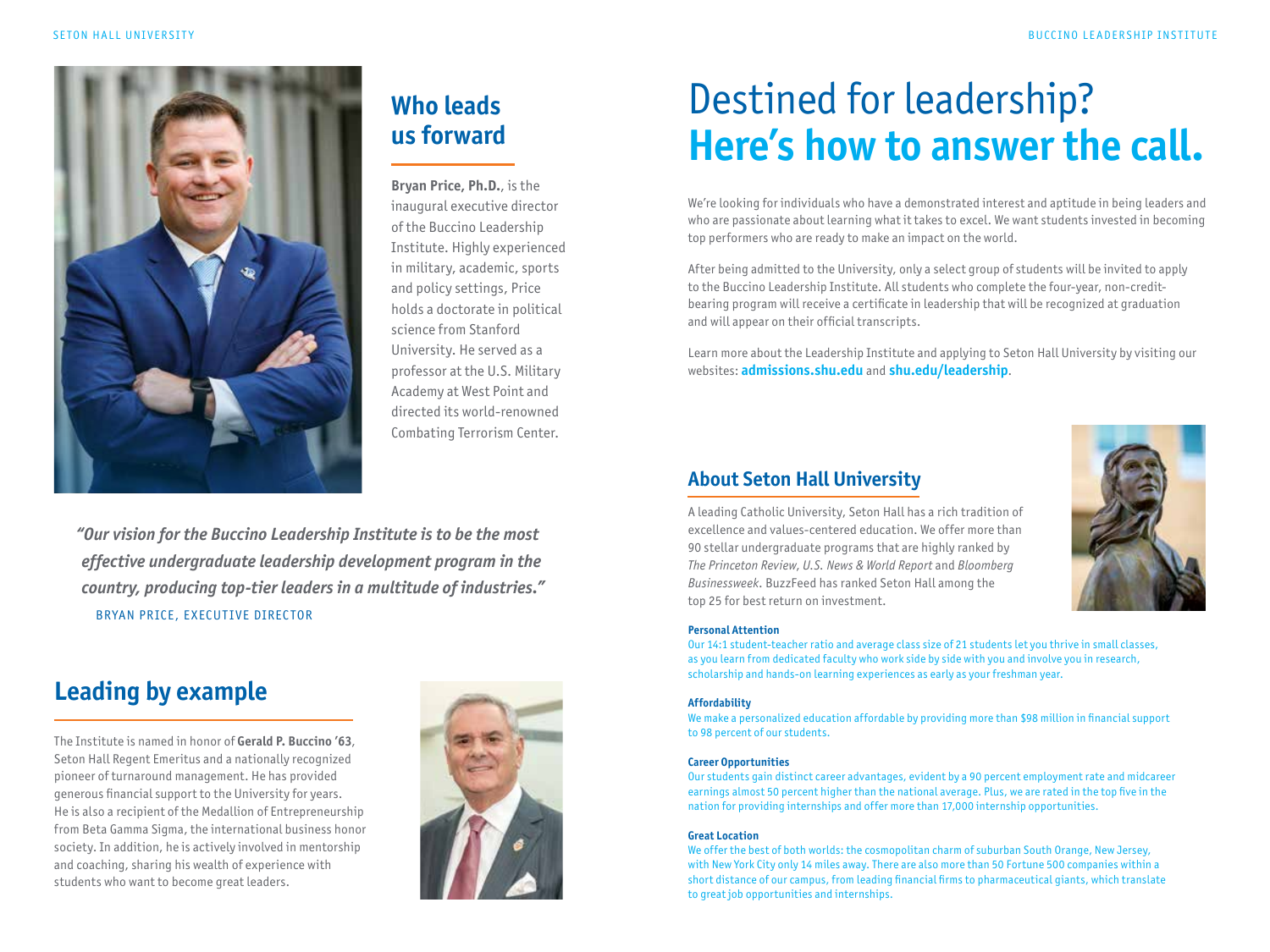

### **Who leads us forward**

**Bryan Price, Ph.D.**, is the inaugural executive director of the Buccino Leadership Institute. Highly experienced in military, academic, sports and policy settings, Price holds a doctorate in political science from Stanford University. He served as a professor at the U.S. Military Academy at West Point and directed its world-renowned Combating Terrorism Center.

*"Our vision for the Buccino Leadership Institute is to be the most effective undergraduate leadership development program in the country, producing top-tier leaders in a multitude of industries."*  BRYAN PRICE, EXECUTIVE DIRECTOR

### **Leading by example**

The Institute is named in honor of **Gerald P. Buccino '63**, Seton Hall Regent Emeritus and a nationally recognized pioneer of turnaround management. He has provided generous financial support to the University for years. He is also a recipient of the Medallion of Entrepreneurship from Beta Gamma Sigma, the international business honor society. In addition, he is actively involved in mentorship and coaching, sharing his wealth of experience with students who want to become great leaders.



## Destined for leadership? **Here's how to answer the call.**

We're looking for individuals who have a demonstrated interest and aptitude in being leaders and who are passionate about learning what it takes to excel. We want students invested in becoming top performers who are ready to make an impact on the world.

After being admitted to the University, only a select group of students will be invited to apply to the Buccino Leadership Institute. All students who complete the four-year, non-creditbearing program will receive a certificate in leadership that will be recognized at graduation and will appear on their official transcripts.

Learn more about the Leadership Institute and applying to Seton Hall University by visiting our websites: **admissions.shu.edu** and **shu.edu/leadership**.

### **About Seton Hall University**

A leading Catholic University, Seton Hall has a rich tradition of excellence and values-centered education. We offer more than 90 stellar undergraduate programs that are highly ranked by *The Princeton Review*, *U.S. News & World Report* and *Bloomberg Businessweek*. BuzzFeed has ranked Seton Hall among the top 25 for best return on investment.



#### **Personal Attention**

Our 14:1 student-teacher ratio and average class size of 21 students let you thrive in small classes, as you learn from dedicated faculty who work side by side with you and involve you in research, scholarship and hands-on learning experiences as early as your freshman year.

#### **Affordability**

We make a personalized education affordable by providing more than \$98 million in financial support to 98 percent of our students.

#### **Career Opportunities**

Our students gain distinct career advantages, evident by a 90 percent employment rate and midcareer earnings almost 50 percent higher than the national average. Plus, we are rated in the top five in the nation for providing internships and offer more than 17,000 internship opportunities.

#### **Great Location**

We offer the best of both worlds: the cosmopolitan charm of suburban South Orange, New Jersey, with New York City only 14 miles away. There are also more than 50 Fortune 500 companies within a short distance of our campus, from leading financial firms to pharmaceutical giants, which translate to great job opportunities and internships.